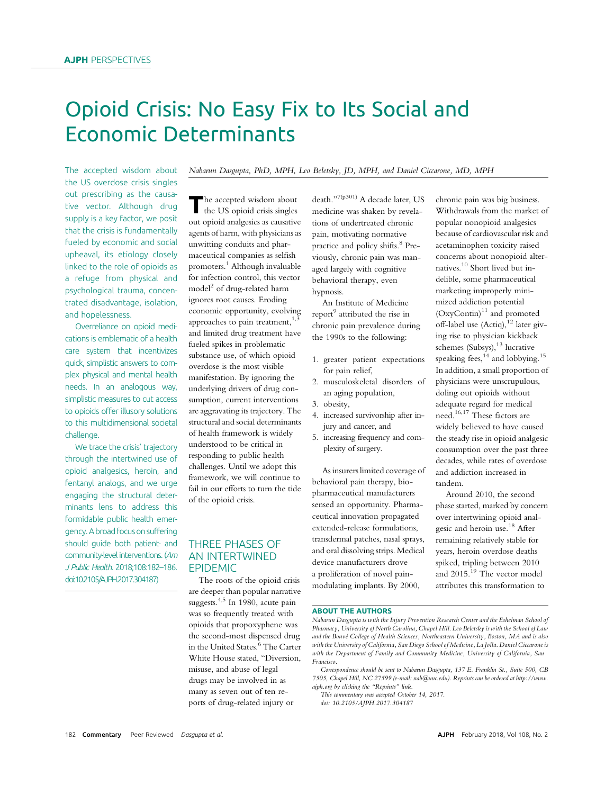# Opioid Crisis: No Easy Fix to Its Social and Economic Determinants

The accepted wisdom about the US overdose crisis singles out prescribing as the causative vector. Although drug supply is a key factor, we posit that the crisis is fundamentally fueled by economic and social upheaval, its etiology closely linked to the role of opioids as a refuge from physical and psychological trauma, concentrated disadvantage, isolation, and hopelessness.

Overreliance on opioid medications is emblematic of a health care system that incentivizes quick, simplistic answers to complex physical and mental health needs. In an analogous way, simplistic measures to cut access to opioids offer illusory solutions to this multidimensional societal challenge.

We trace the crisis' trajectory through the intertwined use of opioid analgesics, heroin, and fentanyl analogs, and we urge engaging the structural determinants lens to address this formidable public health emergency. A broad focus on suffering should guide both patient- and community-level interventions. (Am J Public Health. 2018;108:182–186. doi:10.2105/AJPH.2017.304187)

Nabarun Dasgupta, PhD, MPH, Leo Beletsky, JD, MPH, and Daniel Ciccarone, MD, MPH

 $\sum_{\text{the tree}}^{\text{he accepted wisdom about}}$ the US opioid crisis singles out opioid analgesics as causative agents of harm, with physicians as unwitting conduits and pharmaceutical companies as selfish promoters.<sup>1</sup> Although invaluable for infection control, this vector model<sup>2</sup> of drug-related harm ignores root causes. Eroding economic opportunity, evolving approaches to pain treatment, $1,3$ and limited drug treatment have fueled spikes in problematic substance use, of which opioid overdose is the most visible manifestation. By ignoring the underlying drivers of drug consumption, current interventions are aggravating its trajectory. The structural and social determinants of health framework is widely understood to be critical in responding to public health challenges. Until we adopt this framework, we will continue to fail in our efforts to turn the tide of the opioid crisis.

## THREE PHASES OF AN INTERTWINED EPIDEMIC

The roots of the opioid crisis are deeper than popular narrative suggests.<sup>4,5</sup> In 1980, acute pain was so frequently treated with opioids that propoxyphene was the second-most dispensed drug in the United States.<sup>6</sup> The Carter White House stated, "Diversion, misuse, and abuse of legal drugs may be involved in as many as seven out of ten reports of drug-related injury or

death."7(p301) A decade later, US medicine was shaken by revelations of undertreated chronic pain, motivating normative practice and policy shifts.<sup>8</sup> Previously, chronic pain was managed largely with cognitive behavioral therapy, even hypnosis.

An Institute of Medicine report<sup>9</sup> attributed the rise in chronic pain prevalence during the 1990s to the following:

- 1. greater patient expectations for pain relief,
- 2. musculoskeletal disorders of an aging population,
- 3. obesity,
- 4. increased survivorship after injury and cancer, and
- 5. increasing frequency and complexity of surgery.

As insurers limited coverage of behavioral pain therapy, biopharmaceutical manufacturers sensed an opportunity. Pharmaceutical innovation propagated extended-release formulations, transdermal patches, nasal sprays, and oral dissolving strips. Medical device manufacturers drove a proliferation of novel painmodulating implants. By 2000,

chronic pain was big business. Withdrawals from the market of popular nonopioid analgesics because of cardiovascular risk and acetaminophen toxicity raised concerns about nonopioid alternatives.<sup>10</sup> Short lived but indelible, some pharmaceutical marketing improperly minimized addiction potential  $(OxyContin)^{11}$  and promoted off-label use  $(Actiq)$ ,<sup>12</sup> later giving rise to physician kickback schemes (Subsys),<sup>13</sup> lucrative speaking fees,<sup>14</sup> and lobbying.<sup>15</sup> In addition, a small proportion of physicians were unscrupulous, doling out opioids without adequate regard for medical need.16,17 These factors are widely believed to have caused the steady rise in opioid analgesic consumption over the past three decades, while rates of overdose and addiction increased in tandem.

Around 2010, the second phase started, marked by concern over intertwining opioid analgesic and heroin use.<sup>18</sup> After remaining relatively stable for years, heroin overdose deaths spiked, tripling between 2010 and 2015.<sup>19</sup> The vector model attributes this transformation to

#### ABOUT THE AUTHORS

This commentary was accepted October 14, 2017.

doi: 10.2105/AJPH.2017.304187

Nabarun Dasgupta is with the Injury Prevention Research Center and the Eshelman School of Pharmacy, University of North Carolina, Chapel Hill. Leo Beletsky is with the School of Law and the Bouvé College of Health Sciences, Northeastern University, Boston, MA and is also with the University of California, San Diego School of Medicine, La Jolla. Daniel Ciccarone is with the Department of Family and Community Medicine, University of California, San Francisco.

Correspondence should be sent to Nabarun Dasgupta, 137 E. Franklin St., Suite 500, CB 7505, Chapel Hill, NC 27599 (e-mail: [nab@unc.edu](mailto:nab@unc.edu)). Reprints can be ordered at [http://www.](http://www.ajph.org) [ajph.org](http://www.ajph.org) by clicking the "Reprints" link.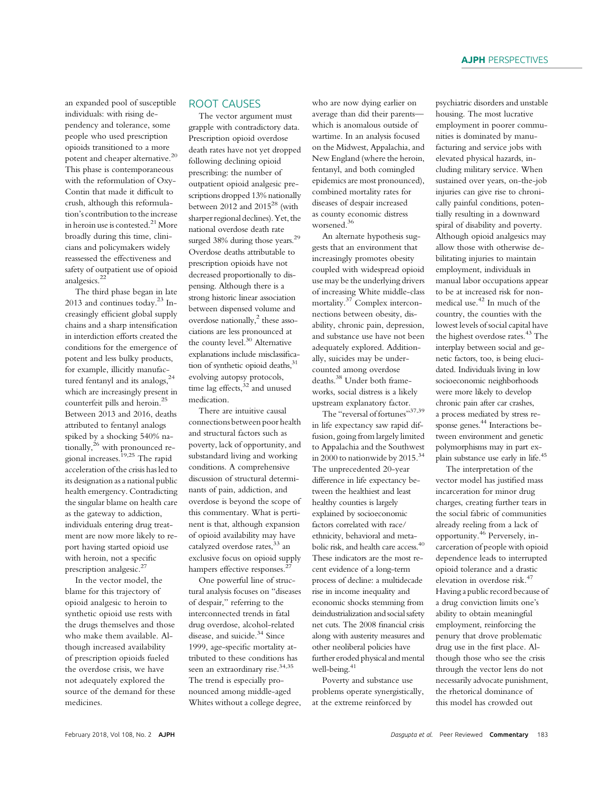an expanded pool of susceptible individuals: with rising dependency and tolerance, some people who used prescription opioids transitioned to a more potent and cheaper alternative.<sup>20</sup> This phase is contemporaneous with the reformulation of Oxy-Contin that made it difficult to crush, although this reformulation's contribution to the increase in heroin use is contested. $21$  More broadly during this time, clinicians and policymakers widely reassessed the effectiveness and safety of outpatient use of opioid analgesics.<sup>22</sup>

The third phase began in late 2013 and continues today. $23$  Increasingly efficient global supply chains and a sharp intensification in interdiction efforts created the conditions for the emergence of potent and less bulky products, for example, illicitly manufactured fentanyl and its analogs,<sup>24</sup> which are increasingly present in counterfeit pills and heroin.<sup>25</sup> Between 2013 and 2016, deaths attributed to fentanyl analogs spiked by a shocking 540% nationally, $26$  with pronounced regional increases.19,25 The rapid acceleration of the crisis has led to its designation as a national public health emergency. Contradicting the singular blame on health care as the gateway to addiction, individuals entering drug treatment are now more likely to report having started opioid use with heroin, not a specific prescription analgesic.<sup>27</sup>

In the vector model, the blame for this trajectory of opioid analgesic to heroin to synthetic opioid use rests with the drugs themselves and those who make them available. Although increased availability of prescription opioids fueled the overdose crisis, we have not adequately explored the source of the demand for these medicines.

## ROOT CAUSES

The vector argument must grapple with contradictory data. Prescription opioid overdose death rates have not yet dropped following declining opioid prescribing: the number of outpatient opioid analgesic prescriptions dropped 13% nationally between 2012 and 2015 $28$  (with sharper regional declines). Yet, the national overdose death rate surged 38% during those years.<sup>29</sup> Overdose deaths attributable to prescription opioids have not decreased proportionally to dispensing. Although there is a strong historic linear association between dispensed volume and overdose nationally,<sup>2</sup> these associations are less pronounced at the county level.<sup>30</sup> Alternative explanations include misclassification of synthetic opioid deaths, $31$ evolving autopsy protocols, time lag effects, $32$  and unused medication.

There are intuitive causal connections between poor health and structural factors such as poverty, lack of opportunity, and substandard living and working conditions. A comprehensive discussion of structural determinants of pain, addiction, and overdose is beyond the scope of this commentary. What is pertinent is that, although expansion of opioid availability may have catalyzed overdose rates,<sup>33</sup> an exclusive focus on opioid supply hampers effective responses.<sup>27</sup>

One powerful line of structural analysis focuses on "diseases of despair," referring to the interconnected trends in fatal drug overdose, alcohol-related disease, and suicide.<sup>34</sup> Since 1999, age-specific mortality attributed to these conditions has seen an extraordinary rise.<sup>34,35</sup> The trend is especially pronounced among middle-aged Whites without a college degree,

who are now dying earlier on average than did their parents which is anomalous outside of wartime. In an analysis focused on the Midwest, Appalachia, and New England (where the heroin, fentanyl, and both comingled epidemics are most pronounced), combined mortality rates for diseases of despair increased as county economic distress worsened.<sup>36</sup>

An alternate hypothesis suggests that an environment that increasingly promotes obesity coupled with widespread opioid use may be the underlying drivers of increasing White middle-class mortality.<sup>37</sup> Complex interconnections between obesity, disability, chronic pain, depression, and substance use have not been adequately explored. Additionally, suicides may be undercounted among overdose deaths.<sup>38</sup> Under both frameworks, social distress is a likely upstream explanatory factor.

The "reversal of fortunes", 37,39 in life expectancy saw rapid diffusion, going from largely limited to Appalachia and the Southwest in 2000 to nationwide by  $2015.^{34}$ The unprecedented 20-year difference in life expectancy between the healthiest and least healthy counties is largely explained by socioeconomic factors correlated with race/ ethnicity, behavioral and metabolic risk, and health care access.<sup>40</sup> These indicators are the most recent evidence of a long-term process of decline: a multidecade rise in income inequality and economic shocks stemming from deindustrialization and social safety net cuts. The 2008 financial crisis along with austerity measures and other neoliberal policies have further eroded physical and mental well-being.<sup>41</sup>

Poverty and substance use problems operate synergistically, at the extreme reinforced by

psychiatric disorders and unstable housing. The most lucrative employment in poorer communities is dominated by manufacturing and service jobs with elevated physical hazards, including military service. When sustained over years, on-the-job injuries can give rise to chronically painful conditions, potentially resulting in a downward spiral of disability and poverty. Although opioid analgesics may allow those with otherwise debilitating injuries to maintain employment, individuals in manual labor occupations appear to be at increased risk for nonmedical use.<sup>42</sup> In much of the country, the counties with the lowest levels of social capital have the highest overdose rates.<sup>43</sup> The interplay between social and genetic factors, too, is being elucidated. Individuals living in low socioeconomic neighborhoods were more likely to develop chronic pain after car crashes, a process mediated by stress response genes.<sup>44</sup> Interactions between environment and genetic polymorphisms may in part explain substance use early in life.45

The interpretation of the vector model has justified mass incarceration for minor drug charges, creating further tears in the social fabric of communities already reeling from a lack of opportunity.<sup>46</sup> Perversely, incarceration of people with opioid dependence leads to interrupted opioid tolerance and a drastic elevation in overdose risk.<sup>47</sup> Having a public record because of a drug conviction limits one's ability to obtain meaningful employment, reinforcing the penury that drove problematic drug use in the first place. Although those who see the crisis through the vector lens do not necessarily advocate punishment, the rhetorical dominance of this model has crowded out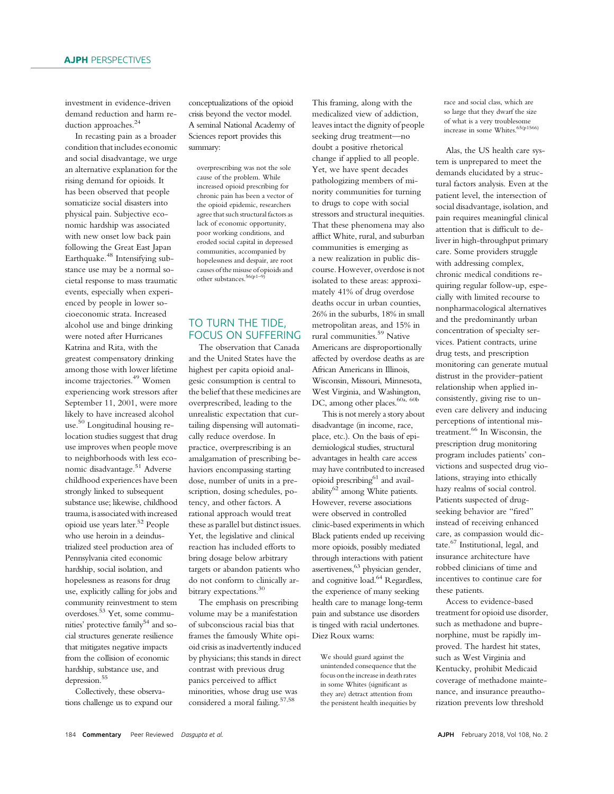investment in evidence-driven demand reduction and harm reduction approaches.<sup>24</sup>

In recasting pain as a broader condition that includes economic and social disadvantage, we urge an alternative explanation for the rising demand for opioids. It has been observed that people somaticize social disasters into physical pain. Subjective economic hardship was associated with new onset low back pain following the Great East Japan Earthquake.<sup>48</sup> Intensifying substance use may be a normal societal response to mass traumatic events, especially when experienced by people in lower socioeconomic strata. Increased alcohol use and binge drinking were noted after Hurricanes Katrina and Rita, with the greatest compensatory drinking among those with lower lifetime income trajectories.<sup>49</sup> Women experiencing work stressors after September 11, 2001, were more likely to have increased alcohol use.50 Longitudinal housing relocation studies suggest that drug use improves when people move to neighborhoods with less economic disadvantage.<sup>51</sup> Adverse childhood experiences have been strongly linked to subsequent substance use; likewise, childhood trauma, is associated with increased opioid use years later.52 People who use heroin in a deindustrialized steel production area of Pennsylvania cited economic hardship, social isolation, and hopelessness as reasons for drug use, explicitly calling for jobs and community reinvestment to stem overdoses.<sup>53</sup> Yet, some communities' protective family<sup>54</sup> and social structures generate resilience that mitigates negative impacts from the collision of economic hardship, substance use, and depression.<sup>55</sup>

Collectively, these observations challenge us to expand our conceptualizations of the opioid crisis beyond the vector model. A seminal National Academy of Sciences report provides this summary:

overprescribing was not the sole cause of the problem. While increased opioid prescribing for chronic pain has been a vector of the opioid epidemic, researchers agree that such structural factors as lack of economic opportunity, poor working conditions, and eroded social capital in depressed communities, accompanied by hopelessness and despair, are root causes of the misuse of opioids and other substances.56(p1–9)

# TO TURN THE TIDE, FOCUS ON SUFFERING

The observation that Canada and the United States have the highest per capita opioid analgesic consumption is central to the belief that these medicines are overprescribed, leading to the unrealistic expectation that curtailing dispensing will automatically reduce overdose. In practice, overprescribing is an amalgamation of prescribing behaviors encompassing starting dose, number of units in a prescription, dosing schedules, potency, and other factors. A rational approach would treat these as parallel but distinct issues. Yet, the legislative and clinical reaction has included efforts to bring dosage below arbitrary targets or abandon patients who do not conform to clinically arbitrary expectations.<sup>30</sup>

The emphasis on prescribing volume may be a manifestation of subconscious racial bias that frames the famously White opioid crisis as inadvertently induced by physicians; this stands in direct contrast with previous drug panics perceived to afflict minorities, whose drug use was considered a moral failing.57,58

This framing, along with the medicalized view of addiction, leaves intact the dignity of people seeking drug treatment—no doubt a positive rhetorical change if applied to all people. Yet, we have spent decades pathologizing members of minority communities for turning to drugs to cope with social stressors and structural inequities. That these phenomena may also afflict White, rural, and suburban communities is emerging as a new realization in public discourse. However, overdose is not isolated to these areas: approximately 41% of drug overdose deaths occur in urban counties, 26% in the suburbs, 18% in small metropolitan areas, and 15% in rural communities.<sup>59</sup> Native Americans are disproportionally affected by overdose deaths as are African Americans in Illinois, Wisconsin, Missouri, Minnesota, West Virginia, and Washington, DC, among other places.<sup>60a, 60b</sup>

This is not merely a story about disadvantage (in income, race, place, etc.). On the basis of epidemiological studies, structural advantages in health care access may have contributed to increased opioid prescribing<sup>61</sup> and avail $ability<sup>62</sup>$  among White patients. However, reverse associations were observed in controlled clinic-based experiments in which Black patients ended up receiving more opioids, possibly mediated through interactions with patient assertiveness,  $63$  physician gender, and cognitive load.64 Regardless, the experience of many seeking health care to manage long-term pain and substance use disorders is tinged with racial undertones. Diez Roux warns:

We should guard against the unintended consequence that the focus on the increase in death rates in some Whites (significant as they are) detract attention from the persistent health inequities by race and social class, which are so large that they dwarf the size of what is a very troublesome<br>increase in some Whites.<sup>65(p1566)</sup>

Alas, the US health care system is unprepared to meet the demands elucidated by a structural factors analysis. Even at the patient level, the intersection of social disadvantage, isolation, and pain requires meaningful clinical attention that is difficult to deliver in high-throughput primary care. Some providers struggle with addressing complex, chronic medical conditions requiring regular follow-up, especially with limited recourse to nonpharmacological alternatives and the predominantly urban concentration of specialty services. Patient contracts, urine drug tests, and prescription monitoring can generate mutual distrust in the provider–patient relationship when applied inconsistently, giving rise to uneven care delivery and inducing perceptions of intentional mistreatment.<sup>66</sup> In Wisconsin, the prescription drug monitoring program includes patients' convictions and suspected drug violations, straying into ethically hazy realms of social control. Patients suspected of drugseeking behavior are "fired" instead of receiving enhanced care, as compassion would dictate.<sup>67</sup> Institutional, legal, and insurance architecture have robbed clinicians of time and incentives to continue care for these patients.

Access to evidence-based treatment for opioid use disorder, such as methadone and buprenorphine, must be rapidly improved. The hardest hit states, such as West Virginia and Kentucky, prohibit Medicaid coverage of methadone maintenance, and insurance preauthorization prevents low threshold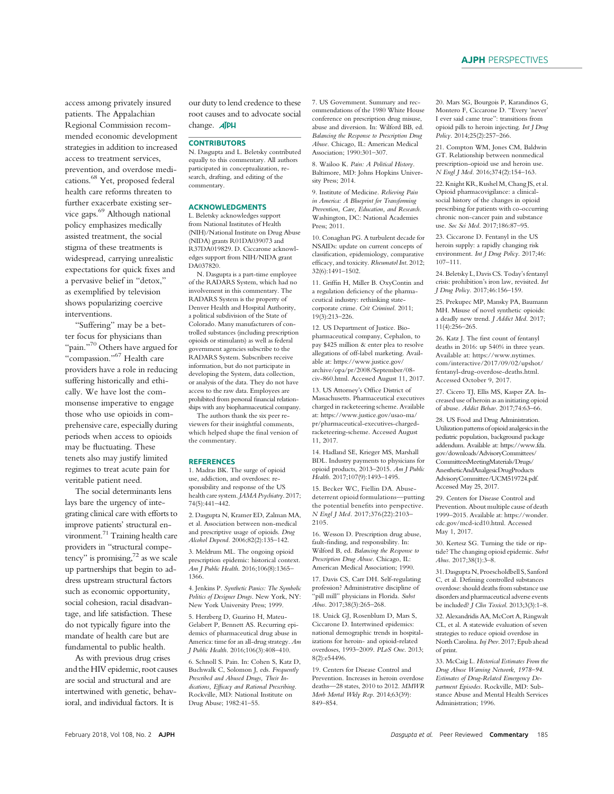access among privately insured patients. The Appalachian Regional Commission recommended economic development strategies in addition to increased access to treatment services, prevention, and overdose medications.<sup>68</sup> Yet, proposed federal health care reforms threaten to further exacerbate existing service gaps.<sup>69</sup> Although national policy emphasizes medically assisted treatment, the social stigma of these treatments is widespread, carrying unrealistic expectations for quick fixes and a pervasive belief in "detox," as exemplified by television shows popularizing coercive interventions.

"Suffering" may be a better focus for physicians than "pain."<sup>70</sup> Others have argued for "compassion."<sup>67</sup> Health care providers have a role in reducing suffering historically and ethically. We have lost the commonsense imperative to engage those who use opioids in comprehensive care, especially during periods when access to opioids may be fluctuating. These tenets also may justify limited regimes to treat acute pain for veritable patient need.

The social determinants lens lays bare the urgency of integrating clinical care with efforts to improve patients' structural environment.71 Training health care providers in "structural competency" is promising,<sup>72</sup> as we scale up partnerships that begin to address upstream structural factors such as economic opportunity, social cohesion, racial disadvantage, and life satisfaction. These do not typically figure into the mandate of health care but are fundamental to public health.

As with previous drug crises and the HIV epidemic, root causes are social and structural and are intertwined with genetic, behavioral, and individual factors. It is

our duty to lend credence to these root causes and to advocate social change. **AJPH** 

### **CONTRIBUTORS**

N. Dasgupta and L. Beletsky contributed equally to this commentary. All authors participated in conceptualization, research, drafting, and editing of the commentary.

#### ACKNOWLEDGMENTS

L. Beletsky acknowledges support from National Institutes of Health (NIH)/National Institute on Drug Abuse (NIDA) grants R01DA039073 and R37DA019829. D. Ciccarone acknowledges support from NIH/NIDA grant DA037820.

N. Dasgupta is a part-time employee of the RADARS System, which had no involvement in this commentary. The RADARS System is the property of Denver Health and Hospital Authority, a political subdivision of the State of Colorado. Many manufacturers of controlled substances (including prescription opioids or stimulants) as well as federal government agencies subscribe to the RADARS System. Subscribers receive information, but do not participate in developing the System, data collection, or analysis of the data. They do not have access to the raw data. Employees are prohibited from personal financial relationships with any biopharmaceutical company.

The authors thank the six peer reviewers for their insightful comments, which helped shape the final version of the commentary.

#### **REFERENCES**

1. Madras BK. The surge of opioid use, addiction, and overdoses: responsibility and response of the US health care system. JAMA Psychiatry. 2017; 74(5):441–442.

2. Dasgupta N, Kramer ED, Zalman MA, et al. Association between non-medical and prescriptive usage of opioids. Drug Alcohol Depend. 2006;82(2):135–142.

3. Meldrum ML. The ongoing opioid prescription epidemic: historical context. Am J Public Health. 2016;106(8):1365– 1366.

4. Jenkins P. Synthetic Panics: The Symbolic Politics of Designer Drugs. New York, NY: New York University Press; 1999.

5. Herzberg D, Guarino H, Mateu-Gelabert P, Bennett AS. Recurring epidemics of pharmaceutical drug abuse in America: time for an all-drug strategy. Am J Public Health. 2016;106(3):408–410.

6. Schnoll S. Pain. In: Cohen S, Katz D, Buchwalk C, Solomon J, eds. Frequently Prescribed and Abused Drugs, Their Indications, Efficacy and Rational Prescribing. Rockville, MD: National Institute on Drug Abuse; 1982:41–55.

7. US Government. Summary and recommendations of the 1980 White House conference on prescription drug misuse, abuse and diversion. In: Wilford BB, ed. Balancing the Response to Prescription Drug Abuse. Chicago, IL: American Medical Association; 1990:301–307.

8. Wailoo K. Pain: A Political History. Baltimore, MD: Johns Hopkins University Press; 2014.

9. Institute of Medicine. Relieving Pain in America: A Blueprint for Transforming Prevention, Care, Education, and Research. Washington, DC: National Academies Press; 2011.

10. Conaghan PG. A turbulent decade for NSAIDs: update on current concepts of classification, epidemiology, comparative efficacy, and toxicity. Rheumatol Int. 2012; 32(6):1491–1502.

11. Griffin H, Miller B. OxyContin and a regulation deficiency of the pharmaceutical industry: rethinking statecorporate crime. Crit Criminol. 2011; 19(3):213–226.

12. US Department of Justice. Biopharmaceutical company, Cephalon, to pay \$425 million & enter plea to resolve allegations of off-label marketing. Available at: [https://www.justice.gov/](https://www.justice.gov/archive/opa/pr/2008/September/08-civ-860.html) [archive/opa/pr/2008/September/08](https://www.justice.gov/archive/opa/pr/2008/September/08-civ-860.html) [civ-860.html.](https://www.justice.gov/archive/opa/pr/2008/September/08-civ-860.html) Accessed August 11, 2017.

13. US Attorney's Office District of Massachusetts. Pharmaceutical executives charged in racketeering scheme. Available at: [https://www.justice.gov/usao-ma/](https://www.justice.gov/usao-ma/pr/pharmaceutical-executives-charged-racketeering-scheme) [pr/pharmaceutical-executives-charged](https://www.justice.gov/usao-ma/pr/pharmaceutical-executives-charged-racketeering-scheme)[racketeering-scheme](https://www.justice.gov/usao-ma/pr/pharmaceutical-executives-charged-racketeering-scheme). Accessed August 11, 2017.

14. Hadland SE, Krieger MS, Marshall BDL. Industry payments to physicians for opioid products, 2013–2015. Am J Public Health. 2017;107(9):1493–1495.

15. Becker WC, Fiellin DA. Abusedeterrent opioid formulations—putting the potential benefits into perspective. N Engl J Med. 2017;376(22):2103– 2105.

16. Wesson D. Prescription drug abuse, fault-finding, and responsibility. In: Wilford B, ed. Balancing the Response to Prescription Drug Abuse. Chicago, IL: American Medical Association; 1990.

17. Davis CS, Carr DH. Self-regulating profession? Administrative discipline of "pill mill" physicians in Florida. Subst Abus. 2017;38(3):265–268.

18. Unick GJ, Rosenblum D, Mars S, Ciccarone D. Intertwined epidemics: national demographic trends in hospitalizations for heroin- and opioid-related overdoses, 1993–2009. PLoS One. 2013; 8(2):e54496.

19. Centers for Disease Control and Prevention. Increases in heroin overdose deaths—28 states, 2010 to 2012. MMWR Morb Mortal Wkly Rep. 2014;63(39): 849–854.

20. Mars SG, Bourgois P, Karandinos G, Montero F, Ciccarone D. "Every 'never' I ever said came true": transitions from opioid pills to heroin injecting. Int J Drug Policy. 2014;25(2):257–266.

21. Compton WM, Jones CM, Baldwin GT. Relationship between nonmedical prescription-opioid use and heroin use. N Engl J Med. 2016;374(2):154–163.

22. Knight KR, Kushel M, Chang JS, et al. Opioid pharmacovigilance: a clinicalsocial history of the changes in opioid prescribing for patients with co-occurring chronic non-cancer pain and substance use. Soc Sci Med. 2017;186:87–95.

23. Ciccarone D. Fentanyl in the US heroin supply: a rapidly changing risk environment. Int J Drug Policy. 2017;46: 107–111.

24. Beletsky L, Davis CS. Today's fentanyl crisis: prohibition's iron law, revisited. Int J Drug Policy. 2017;46:156–159.

25. Prekupec MP, Mansky PA, Baumann MH. Misuse of novel synthetic opioids: a deadly new trend. J Addict Med. 2017; 11(4):256–265.

26. Katz J. The first count of fentanyl deaths in 2016: up 540% in three years. Available at: [https://www.nytimes.](https://www.nytimes.com/interactive/2017/09/02/upshot/fentanyl-drug-overdose-deaths.html) [com/interactive/2017/09/02/upshot/](https://www.nytimes.com/interactive/2017/09/02/upshot/fentanyl-drug-overdose-deaths.html) [fentanyl-drug-overdose-deaths.html](https://www.nytimes.com/interactive/2017/09/02/upshot/fentanyl-drug-overdose-deaths.html). Accessed October 9, 2017.

27. Cicero TJ, Ellis MS, Kasper ZA. Increased use of heroin as an initiating opioid of abuse. Addict Behav. 2017;74:63–66.

28. US Food and Drug Administration. Utilization patterns of opioid analgesics inthe pediatric population, background package addendum. Available at: [https://www.fda.](https://www.fda.gov/downloads/AdvisoryCommittees/CommitteesMeetingMaterials/Drugs/AnestheticAndAnalgesicDrugProductsAdvisoryCommittee/UCM519724.pdf) [gov/downloads/AdvisoryCommittees/](https://www.fda.gov/downloads/AdvisoryCommittees/CommitteesMeetingMaterials/Drugs/AnestheticAndAnalgesicDrugProductsAdvisoryCommittee/UCM519724.pdf) [CommitteesMeetingMaterials/Drugs/](https://www.fda.gov/downloads/AdvisoryCommittees/CommitteesMeetingMaterials/Drugs/AnestheticAndAnalgesicDrugProductsAdvisoryCommittee/UCM519724.pdf) [AnestheticAndAnalgesicDrugProducts](https://www.fda.gov/downloads/AdvisoryCommittees/CommitteesMeetingMaterials/Drugs/AnestheticAndAnalgesicDrugProductsAdvisoryCommittee/UCM519724.pdf) [AdvisoryCommittee/UCM519724.pdf.](https://www.fda.gov/downloads/AdvisoryCommittees/CommitteesMeetingMaterials/Drugs/AnestheticAndAnalgesicDrugProductsAdvisoryCommittee/UCM519724.pdf) Accessed May 25, 2017.

29. Centers for Disease Control and Prevention. About multiple cause of death 1999–2015. Available at: [https://wonder.](https://wonder.cdc.gov/mcd-icd10.html) [cdc.gov/mcd-icd10.html.](https://wonder.cdc.gov/mcd-icd10.html) Accessed May 1, 2017.

30. Kertesz SG. Turning the tide or riptide? The changing opioid epidemic. Subst Abus. 2017;38(1):3–8.

31. Dasgupta N, Proescholdbell S, Sanford C, et al. Defining controlled substances overdose: should deaths from substance use disorders and pharmaceutical adverse events be included? J Clin Toxicol. 2013;3(3):1–8.

32. Alexandridis AA, McCort A, Ringwalt CL, et al. A statewide evaluation of seven strategies to reduce opioid overdose in North Carolina. Inj Prev. 2017; Epub ahead of print.

33. McCaig L. Historical Estimates From the Drug Abuse Warning Network, 1978–94. Estimates of Drug-Related Emergency Department Episodes. Rockville, MD: Substance Abuse and Mental Health Services Administration; 1996.